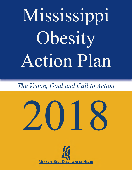# Mississippi Obesity Action Plan

# *The Vision, Goal and Call to Action*



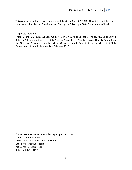This plan was developed in accordance with MS Code § 41-3-201 (2014), which mandates the submission of an Annual Obesity Action Plan by the Mississippi State Department of Health.

Suggested Citation:

Tiffani Grant, MS, RDN, LD; LaTonya Lott, DrPH, MS, MPH; Joseph S. Miller, MS, MPH; JaLysia Roberts, MPH; Victor Sutton, PhD, MPPA; Lei Zhang, PhD, MBA, Mississippi Obesity Action Plan, the Office of Preventive Health and the Office of Health Data & Research. Mississippi State Department of Health, Jackson, MS, February 2018.

For further information about this report please contact: Tiffani L. Grant, MS, RDN, LD Mississippi State Department of Health Office of Preventive Health 715 S. Pear Orchard Road Ridgeland, MS 39157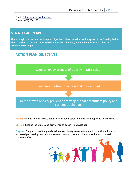Email: Tiffani.grant@msdh.ms.gov Phone: (601) 206-1559

## **STRATEGIC PLAN**

The Strategic Plan includes action plan objectives, vision, mission, and purpose of the Obesity Action Plan. It serves as a roadmap for the development, planning, and implementation of obesity prevention strategies.

## **ACTION PLAN OBJECTIVES**



**Vision:** We envision all Mississippians having equal opportunity to live happy and healthy lives.

**Mission:** Reduce the stigma and prevalence of obesity in Mississippi.

**Purpose:** The purpose of the plan is to increase obesity awareness and efforts with the hopes of increased partnerships and innovative solutions and create a collaborative impact to sustain statewide efforts.

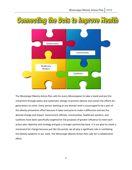

The Mississippi Obesity Action Plan calls for every Mississippian to take a stand and join the movement through policy and systematic change to prevent obesity and sustain the efforts for generations to come. Every person working at any domain level is encouraged to be a part of the obesity prevention effort because it takes everyone to make a difference and see the desired change and impact. Government officials, communities, healthcare workers, and coalitions have been specifically targeted for the purposes of greater influence to meet each action plan objective and strategy and gain a stronger partnership base. It is our goal to create a movement for change because just like the puzzle, we all play a significant role in combating the obesity epidemic in our state. The Mississippi Obesity Action Plan calls for a collaborative effort. 

4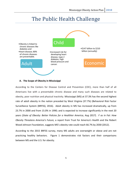## The Public Health Challenge



#### **A. The Scope of Obesity in Mississippi**

According to the Centers for Disease Control and Prevention (CDC), more than half of all Americans live with a preventable chronic disease and many such diseases are related to obesity, poor nutrition and physical inactivity. Mississippi (MS) at 37.3% has the second highest rate of adult obesity in the nation preceded by West Virginia (37.7%) (Behavioral Risk Factor Surveillance System (BRFSS), 2016). Adult obesity in MS has increased dramatically, up from 23.7% in 2000 and from 15.0% in 1990; and is expected to increase significantly in the next 20 years (State of Obesity: Better Policies for a Healthier America, Aug 2017). *F* as in Fat: How *Obesity Threatens America's Future,* a report from Trust for America's Health and the Robert Wood Johnson Foundation, suggests MS's obesity rate could reach 66.7% by 2030 (2012).

According to the 2015 BRFSS survey, many MS adults are overweight or obese and are not practicing healthy behaviors. Figure 1 demonstrates risk factors and their comparisons between MS and the U.S. for obesity.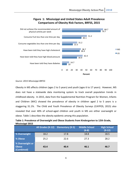

### **Figure 1: Mississippi and United States Adult Prevalence Comparisons of Obesity Risk Factors, BRFSS, 2015**

#### *Source: 2015 Mississippi BRFSS*

Obesity in MS affects children (ages 2 to 5 years) and youth (ages 6 to 17 years). However, MS does not have a statewide data monitoring system to track overall population trends in childhood obesity. In 2015, data from the Supplemental Nutrition Program for Women, Infants and Children (WIC) showed the prevalence of obesity in children aged 2 to 5 years is a staggering 31.1%. The Child and Youth Prevalence of Obesity Surveys (CAYPOS, 2015) also revealed that over 40% of school-aged children and youth in MS are either overweight or obese. Table 1 describes the obesity epidemic among this population.

| Table 1: Prevalence of Overweight and Obese Students from Kindergarten to 12th Grade, |
|---------------------------------------------------------------------------------------|
| Mississippi 2015                                                                      |

|                                               | All Grades (K-12) | <b>Elementary (K-5)</b> | <b>Middle School</b><br>$(6-8)$ | <b>High School</b><br>$(9-12)$ |
|-----------------------------------------------|-------------------|-------------------------|---------------------------------|--------------------------------|
| % Overweight                                  | 18.2              | 17.8                    | 18.8                            | 18.5                           |
| % Obese                                       | 25.2              | 22.6                    | 27.3                            | 28.2                           |
| % Overweight or<br><b>Obese</b><br>(Combined) | 43.4              | 40.4                    | 46.1                            | 46.7                           |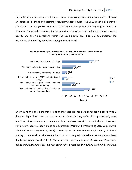High rates of obesity cause great concern because overweight/obese children and youth have an increased likelihood of becoming overweight/obese adults. The 2015 Youth Risk Behavior Surveillance System (YRBSS) reveals that younger Mississippians are engaging in unhealthy lifestyles. The prevalence of obesity risk behaviors among the youth influences the widespread obesity and chronic conditions within the adult population. Figure 2 demonstrates the prevalence of unhealthy behaviors among the youth in MS.



Figure 2: Mississippi and United States Youth Prevalence Comparisons of **Obesity Risk Factors, YRBSS, 2015** 

Overweight and obese children are at an increased risk for developing heart disease, type 2 diabetes, high blood pressure and cancer. Additionally, they suffer disproportionately from health conditions such as sleep apnea, asthma, and psychosocial effects' including decreased self esteem, negative body image and depression (*National Conference of State Legislatures*, *Childhood Obesity Legislation,* 2013). According to the *Still Too Fat Fight* report, childhood obesity is a national security issue, with 1 out of 4 young adults unable to serve in the military due to excess body weight (2012). *"Because of the increasing rates of obesity, unhealthy eating habits* and physical inactivity, we may see the first generation that will be less healthy and have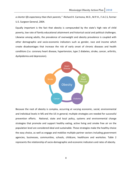a shorter life expectancy than their parents," -Richard H. Carmona, M.D., M.P.H., F.A.C.S, former U.S. Surgeon General, 2004.

Equally important is the fact that obesity is compounded by the state's high rate of child poverty, low rate of family educational attainment and historical social and political challenges. Likewise among adults, the prevalence of overweight and obesity prevalence is coupled with other demographic and socio-economic indicators such as gender, race and income which create disadvantages that increase the risk of early onset of chronic diseases and health conditions (i.e. coronary heart disease, hypertension, type 2 diabetes, stroke, cancer, arthritis, dyslipidemia and depression).



Because the root of obesity is complex, occurring at varying economic, social, environmental and individual levels in MS and the US in general; multiple strategies are needed for successful prevention efforts. National, state and local policy, systems and environmental change strategies that promote and support healthy eating, active living and smoke free air on the population level are considered ideal and sustainable. These strategies make the healthy choice the easy choice, as well as engage and mobilize multiple partner sectors including government agencies, businesses, communities, schools, childcare, healthcare and worksites. Table 2 represents the relationship of socio-demographic and economic indicators and rates of obesity.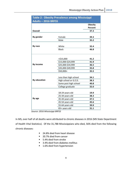|                          | <b>Table 2: Obesity Prevalence among Mississippi</b> |                |
|--------------------------|------------------------------------------------------|----------------|
| <b>Adults-2016 BRFSS</b> |                                                      |                |
|                          |                                                      | <b>Obesity</b> |
|                          |                                                      | Percent        |
| <b>Overall</b>           |                                                      | 37.3           |
|                          |                                                      |                |
| By gender                | Female                                               | 39.3           |
|                          | Male                                                 | 35.2           |
|                          |                                                      |                |
| By race                  | White                                                | 32.4           |
|                          | <b>Black</b>                                         | 46.8           |
|                          |                                                      |                |
|                          |                                                      |                |
|                          | $<$ \$15,000                                         | 41.2           |
|                          | \$15,000-\$24,999                                    | 41.9           |
| By income                | \$25,000-\$34,999                                    | 36.5           |
|                          | \$35,000-\$49,999                                    | 35.8           |
|                          | \$50,000+                                            | 35.5           |
|                          |                                                      |                |
|                          | Less than high school                                | 34.1           |
| <b>By education</b>      | High school or G.E.D.                                | 38.3           |
|                          | Some post high school                                | 40.8           |
|                          | College graduate                                     | 32.0           |
|                          |                                                      |                |
|                          | 18-24 years old                                      | 19.9           |
|                          | 25-34 years old                                      | 38.3           |
| By age                   | 35-44 years old                                      | 47.5           |
|                          | 45-54 years old                                      | 45.6           |
|                          | 55-64 years old                                      | 39.9           |
|                          | 65+ years old                                        | 31.1           |

Source: 2016 Mississippi BRFSS

In MS, over half of all deaths were attributed to chronic diseases in 2016 (MS State Department of Health Vital Statistics). Of the 31,788 Mississippians who died, 56% died from the following chronic diseases:

- 24.8% died from heart disease
- 20.7% died from cancer
- 5.4% died from stroke
- 3.4% died from diabetes mellitus
- 1.6% died from hypertension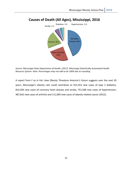

### **Causes of Death (All Ages), Mississippi, 2016**

Source: Mississippi State Department of Health. (2017). Mississippi Statistically Automated Health *Resource System*. *Note: Percentages may not add to be 100% due to rounding.*

A report from *F* as in Fat: How Obesity Threatens America's Future suggests over the next 20 years, Mississippi's obesity rate could contribute to 415,353 new cases of type 2 diabetes; 814,504 new cases of coronary heart disease and stroke; 751,568 new cases of hypertension; 487,642 new cases of arthritis and 111,069 new cases of obesity related cancer (2012).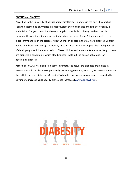#### **OBESITY and DIABETES**

According to the University of Mississippi Medical Center, diabetes in the past 20 years has risen to become one of America's most prevalent chronic diseases and its link to obesity is undeniable. The good news is diabetes is largely controllable if obesity can be controlled. However, the obesity epidemic increasingly drives the rates of type 2 diabetes, which is the most common form of the disease. About 26 million people in the U.S. have diabetes, up from about 17 million a decade ago. As obesity rates increase in children, it puts them at higher risk of developing type 2 diabetes as adults. Obese children and adolescents are more likely to have pre-diabetes, a condition in which blood glucose levels put the person at high risk for developing diabetes.

According to CDC's national pre-diabetes estimate, the actual pre-diabetes prevalence in Mississippi could be above 30% potentially positioning over 600,000- 700,000 Mississippians on the path to develop diabetes. Mississippi's diabetes prevalence among adults is expected to continue to increase as its obesity prevalence increases (www.cdc.gov/brfss).

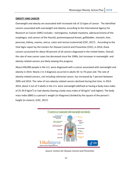#### **OBESITY AND CANCER**

Overweight and obesity are associated with increased risk of 13 types of cancer. The identified cancers associated with overweight and obesity, according to the International Agency for Research on Cancer (IARC) includes : meningioma, multiple myeloma, adenocarcinoma of the esophagus, and cancers of the thyroid, postmenopausal breast, gallbladder, stomach, liver, pancreas, kidney, ovaries, uterus, colon and rectum (colorectal) (CDC, 2017). According to the Vital Signs report by the Centers for Disease Control and Prevention (CDC), in 2014, these cancers accounted for about 40 percent of all cancers diagnosed in the United States. Overall, the rate of new cancer cases has decreased since the 1990s, but increases in overweight- and obesity-related cancers are likely slowing this progress.

About 630,000 people in the U.S. were diagnosed with a cancer associated with overweight and obesity in 2014. Nearly 2 in 3 diagnosis occurred in adults 50- to 74-years-old. The rate of obesity-related cancers, not including colorectal cancer, has increased by 7 percent between 2005 and 2014. The rates of non-obesity related cancers declined during that time. In 2013-2014, about 2 out of 3 adults in the U.S. were overweight (defined as having a body mass index of 25-29.9 kg/m<sup>2</sup>) or had obesity (having a body mass index of 30 kg/m<sup>2</sup> and higher). The body mass index (BMI) is a person's weight (in kilograms) divided by the square of the person's height (in meters). (CDC, 2017)



*Source: Centers for Disease Control and Prevention*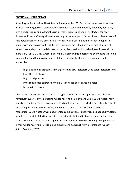#### **OBESITY and HEART DISEASE**

According to the American Heart Association report (Feb 2017), the burden of cardiovascular disease is growing faster than our ability to combat it due to the obesity epidemic, poor diet, high blood pressure and a dramatic rise in Type 2 diabetes- all major risk factors for heart disease and stroke. Obesity alone dramatically increases a person's risk of heart disease, even if that person does not have other risk factors for heart disease. But the link goes deeper. For people with known risks for heart disease - including high blood pressure, high cholesterol, tobacco use and uncontrolled diabetes - the burden obesity adds makes heart disease all the more likely (UMMC, 2017). According to the Cleveland Clinic, obesity and overweight are linked to several factors that increase one's risk for cardiovascular disease (coronary artery disease and stroke):

- High blood lipids, especially high triglycerides, LDL cholesterol, and total cholesterol and low HDL cholesterol
- High blood pressure
- Impaired glucose tolerance or type-2 (also called adult onset) diabetes
- Metabolic syndrome

Obesity and overweight are also linked to hypertension and an enlarged left ventricle (left ventricular hypertrophy), increasing risk for heart failure (Cleveland Clinic, 2017). Additionally, obesity is a major factor in raising one's blood cholesterol levels. High cholesterol contributes to the buildup of plaque in the arteries, a major cause of heart attacks (American Heart Association, 2017). Another well documented complication of obesity is sleep apnea. Symptoms include a complaint of daytime sleepiness, snoring at night and instances where patients may "stop" breathing. This disease has significant consequences to the heart and places patients at higher risk for heart failure, high blood pressure and sudden rhythm disturbances (Obesity Action Coalition, 2017).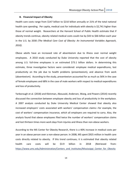#### **B.** Financial Impact of Obesity

Health care costs range from \$147 billion to \$210 billion annually or 21% of the total national health care spending. Per capita, medical cost for individuals with obesity is \$2,741 higher than those of normal weight. Researchers at the Harvard School of Public Health estimate that if obesity trends continue, obesity related medical costs could rise by \$43 to \$66 billion each year in the U.S. by 2030 *(The Medical Care Cost of Obesity: An Instrumental Variables Approach, 2010)*. 

Obese adults have an increased rate of absenteeism due to illness over normal weight employees. A 2010 study conducted by Duke University reported that the cost of obesity among U.S. full-time employees is an estimated \$73.1 billion dollars. In determining this estimate, three investigative factors were considered: employee medical expenditures, lost productivity on the job due to health problems (presenteeism), and absence from work (absenteeism). According to the study, presenteeism accounted for as much as 56% in the case of female employees and 68% in the case of male workers with respect to medical expenditures and loss of productivity.

Yarborough et al. (2018) and Kleinman, Abouzaid, Andersen, Wang, and Powers (2014) recently discussed the connection between employee obesity and loss of productivity in the workplace. A 2007 analysis conducted by Duke University Medical Center showed that obesity also increased employers' costs associated with workers' compensation claims-for example, the cost of workers' compensation insurance, which all employers are required to carry. Also, the analysis found that obese employees filed twice the number of workers' compensation claims and lost thirteen times more work days from injuries and illness than non-obese workers.

According to the MS Center for Obesity Research, there is a 40% increase in medical costs per year in an obese person over a non-obese person. In 2008, MS spent \$925 million in health care costs directly related to obesity. If this trend continues; it is estimated that obesity related health care costs will be \$3.9 billion in 2018 (Retrieved from: https://www.umc.edu/Administration/Centers\_and\_Institutes/Mississippi\_Center\_for\_Obesity

14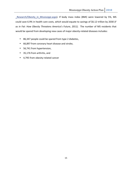\_Research/Obesity in Mississippi.aspx). If body mass index (BMI) were lowered by 5%, MS could save 6.9% in health care costs, which would equate to savings of \$6.12 trillion by 2030 (F as in Fat: How Obesity Threatens America's Future, 2011). The number of MS residents that would be spared from developing new cases of major obesity-related diseases includes:

- 86,347 people could be spared from type 2 diabetes,
- 66,897 from coronary heart disease and stroke,
- 56,741 from hypertension,
- 35,176 from arthritis, and
- 4,795 from obesity-related cancer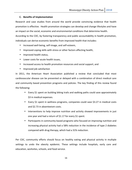#### **C. Benefits of Implementation**

Research and case studies from around the world provide convincing evidence that health promotion is effective. Health promotion strategies can develop and change lifestyles and have an impact on the social, economic and environmental conditions that determine health. According to the CDC, by fostering transparency and public accountability in health promotion,

individuals can derive economic benefits from improved health that includes:

- Increased well-being, self-image, and self-esteem,
- Improved coping skills with stress or other factors affecting health,
- Improved health status,
- Lower costs for acute health issues.
- Increased access to health promotion resources and social support, and
- Improved job satisfaction

In 2011, the American Heart Association published a review that concluded that most cardiovascular disease can be prevented or delayed with a combination of direct medical care and community based prevention programs and policies. The key finding of this review found the following:

- Every \$1 spent on building biking trails and walking paths could save approximately \$3 in medical expenses.
- Every \$1 spent in wellness programs, companies could save \$3.27 in medical costs and \$2.73 in absenteeism costs.
- Interventions to help improve nutrition and activity showed improvements in just one year and had a return of \$1.17 for every \$1 spent.
- Participants in community-based programs who focused on improving nutrition and increasing physical activity had a 58% reduction in the incidence of type 2 diabetes compared with drug therapy, which had a 31% reduction.

Per CDC, community efforts should focus on healthy eating and physical activity in multiple settings to undo the obesity epidemic. These settings include hospitals, early care and education, worksites, schools, and food service.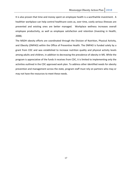It is also proven that time and money spent on employee health is a worthwhile investment. A healthier workplace can help control healthcare costs as, over time, costly serious illnesses are prevented and existing ones are better managed. Workplace wellness increases overall employee productivity, as well as employee satisfaction and retention (Investing in Health, 2008). 

The MSDH obesity efforts are coordinated through the Division of Nutrition, Physical Activity, and Obesity (DNPAO) within the Office of Preventive Health. The DNPAO is funded solely by a grant from CDC and was established to increase nutrition quality and physical activity levels among adults and children, in addition to decreasing the prevalence of obesity in MS. While the program is appreciative of the funds it receives from CDC, it is limited to implementing only the activities outlined in the CDC approved work plan. To address other identified needs for obesity prevention and management across the state, program staff must rely on partners who may or may not have the resources to meet these needs.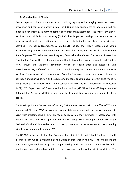#### **D.** Coordination of Efforts

Partnerships and collaboration are crucial to building capacity and leveraging resources towards prevention and control of obesity in MS. The CDC not only encourages collaboration, but has made it a key strategy in many funding opportunity announcements. The MSDH, Division of Nutrition, Physical Activity and Obesity (DNPAO) has forged partnerships internally and at the local, regional, state and national levels to successfully implement obesity strategies and activities. Internal collaborations, within MSDH, include the Heart Disease and Stroke Prevention Program; Diabetes Prevention and Control Program; MS Delta Health Collaborative; State Employee Worksite Wellness Program; Comprehensive Cancer Control and Prevention; Coordinated Chronic Disease Prevention and Health Promotion; Women, Infants and Children (WIC); Injury and Violence Prevention; Office of Health Data and Research; Vital Records/Statistics; Office of Tobacco Control; Health Equity Department; Child Care Licensure; Nutrition Services and Communications. Coordination across these programs includes the utilization and sharing of staff and resources to manage, control and/or prevent obesity and its complications. Externally, the DNPAO collaborates with the MS Department of Education (MDE), MS Department of Finance and Administration (MDFA) and the MS Department of Rehabilitation Services (MDRS) to implement healthy nutrition, vending and physical activity policies. 

The Mississippi State Department of Health, DNPAO also partners with the Office of Women, Infants and Children (WIC) program and other state agency worksite wellness champions to assist with implementing a lactation room policy within their agencies in accordance with federal law. WIC and DNPAO partner with the Mississippi Breastfeeding Coalition, Mississippi Perinatal Quality Collaborative and national partners to increase access to breastfeeding friendly environments throughout MS.

The DNPAO partners with the Blue Cross and Blue Shield State and School Employees' Health Insurance Plan which is managed by the Office of Insurance in the MDFA to implement the State Employee Wellness Program. In partnership with the MDRS, DNPAO established a healthy catering and vending initiative to be encouraged and adopted within worksites. The

18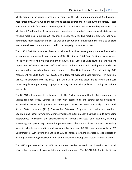MDRS organizes the vendors, who are members of the MS Randolph-Sheppard Blind Vendors Association (MRSBVA), which manages food service operations in state owned facilities. These operations include full-service cafeterias, snack bars and food and drink vending machines. The Mississippi Blind Vendors Association has converted over ninety-five percent of all state agency vending machines to include *Fit Pick* snack selections, a vending machine program that helps consumers make healthier choices, as well as distribution of educational materials to all state worksite wellness champions which aid in the campaign promotion process.

The MSDH DNPAO promotes physical activity and nutrition among early care and education programs by continuing to partner with MSDH Division of Child Care Facilities Licensure and Nutrition Services, the MS Department of Education's Office of Child Nutrition, and the MS Department of Human Services' Office of Early Childhood Care and Development. Early care and education providers have been trained on The Nutrition and Physical Activity Self-Assessment for Child Care (NAP SACC) and additional evidence based trainings. In addition, DNPAO collaborated with the Mississippi Child Care Facilities Licensure to revise child care center regulations pertaining to physical activity and nutrition policies according to national standards.

The DNPAO will continue to collaborate with The Partnership for a Healthy Mississippi and the Mississippi Food Policy Council to assist with establishing and strengthening policies for increased access to healthy foods and beverages. The MSDH DNPAO currently partners with Alcorn State University (ASU) Cooperative Extension Program, the Health and Wellness Coalition, and other key stakeholders to implement nutrition activities that include developing cooperatives to support the establishment of farmer's markets; and acquiring, building, preserving, and protecting community gardens across the state to increase access to healthy foods in schools, communities, and worksites. Furthermore, MSDH is partnering with the MS Department of Agriculture and Office of WIC to increase farmers' markets in food deserts by assisting with building infrastructure for communities to develop and sustain farmers' markets.

The MSDH partners with the MDE to implement evidence-based coordinated school health efforts that promote physical activity and healthy eating. The MSDH Safe Routes to School

19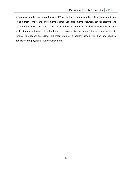program within the Division of Injury and Violence Prevention promotes safe walking and biking to and from school and implements shared use agreements between school districts and communities across the state. The MSDH and MDE have also coordinated efforts to provide professional development to school staff, technical assistance and mini-grant opportunities to schools to support successful implementation of a healthy school nutrition and physical education and physical activity environment.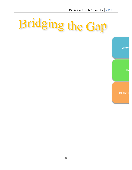# Bridging the Gap

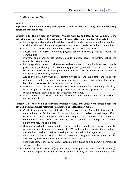#### **E. Obesity Action Plan**

#### Goal 1

**Improve state and local capacity and support to address physical activity and healthy eating** across the lifespan in MS.

#### **Strategy 1-1:** The Division of Nutrition, Physical Activity, and Obesity will coordinate the following programs and activities to increase physical activity and healthy eating in MS.

- $\triangleright$  Encourage counties and municipalities to establish and coordinate Health and Wellness Coalitions that coordinate and implement programs and activities in their communities.
- $\triangleright$  Provide the coalitions with needed resources and technical assistance.
- $\triangleright$  Secure funds for MSDH to provide physical activity incentive grants to schools and communities.
- $\triangleright$  Promote public and private partnerships to increase access to healthy eating and physical activity programs.
- $\triangleright$  Encourage development, maintenance, redevelopment and equitable access to public green spaces, including parks, community gardens, greenbelts, and trails, as well as recreational facilities in all neighborhoods that increase the opportunity for physical activity for all community members.
- $\triangleright$  Adopt and implement "walkable" community policies and build paths and trails with optimal trees and green space to provide safe and convenient travel options for walking, bicycling, or using assistive devices such as wheelchairs.
- $\triangleright$  Develop a state mandate for insurers to provide incentives for maintaining a healthy body weight and include screening, treatment, and obesity preventive services in routine clinical practice and quality assessment measures.
- $\triangleright$  Provide technical assistance and funds to schools and communities to establish shared use agreements.

#### **Strategy 1-2: The Division of Nutrition, Physical Activity, and Obesity will assess needs and** develop and disseminate resources to aid state and local decision makers.

- $\triangleright$  Conduct a comprehensive, statewide "needs assessment" for public investment in new or improved facilities for physical activity, such as pedestrian walkways, off and on road bike trails and parks; education programs and materials for schools and communities and access to healthy food options in workplaces, schools, neighborhoods, and communities.
- $\triangleright$  Develop searchable online guides on all available public and private obesity prevention and treatment programs in MS and regularly update these guides. Include local wellness policies developed by local education agencies that comply with Federal Law, as well as obesity prevention programs and resources made available by food companies and related organizations.
- $\triangleright$  Encourage state agencies to pursue available grant funds and equipment donations to support initiatives.
- $\triangleright$  Increase available resources (e.g. marketing campaigns, education materials, funding) to initiate opportunities for increased physical activity in the communities and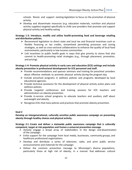schools. Revise and support existing legislation to focus on the promotion of physical activity.

 $\triangleright$  Develop and disseminate resources (e.g. education materials, nutrition and physical activity supplies) targeted specifically to child care providers that promote and support physical activity and healthy eating.

#### Strategy 1-3: Introduce, modify and utilize health-promoting food and beverage retailing **and distribution policies.**

- $\triangleright$  Recommend legislation to direct state and local tax and financial incentives such as flexible financing or tax credits, streamlined permitting processes and zoning strategies, as well as cross-sectoral collaborations to enhance the quality of local food environments; particularly in low-income communities.
- $\triangleright$  Link incentives to public health goals in ways that give priority to stores that also commit to health-promoting retail strategies (e.g., through placement, promotion, and pricing).

#### Strategy 1-4: Promote physical activity in early care and education (ECE) settings and include **obesity prevention in professional development for ECE personnel and staff.**

- $\triangleright$  Provide recommendations and sponsor seminars and training for preschool providers about effective methods to promote physical activity during the program day.
- $\triangleright$  Include preschool programs in wellness policies and programs developed by local educational agencies.
- $\triangleright$  Provide technical assistance for the development of physical activity action plans and wellness policies.
- $\triangleright$  Provide targeted conferences and training sessions for ECE teachers and administrators on obesity prevention.
- $\triangleright$  Provide in-service school programs to educate teachers and auxiliary staff about overweight and obesity.
- $\triangleright$  Recognize ECEs that have policies and practices that promote obesity prevention.

#### **Goal 2**

Develop an intergenerational, culturally sensitive public awareness campaign on preventing **obesity through healthy choices and physical activity.** 

#### **Strategy 2:1 Create and deliver a statewide public awareness campaign that is culturally competent, target at risk population and frames a universal prevention message.**

- $\triangleright$  Actively engage a broad array of stakeholders in the design and dissemination of the campaign.
- $\triangleright$  Enlist support for the campaign from local media, businesses, community groups, and healthcare professional organizations.
- $\triangleright$  Develop and distribute a series of television, radio, and print public service announcements and materials for the campaign.
- $\triangleright$  Deliver the common prevention message to Mississippi's diverse populations, particularly those at high risk of obesity, in a manner that addresses cultural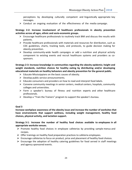perceptions by developing culturally competent and linguistically appropriate key messages.

 $\triangleright$  Conduct an ongoing evaluation of the effectiveness of the media campaign.

**Strategy 2-2: Increase involvement of healthcare professionals in obesity prevention** activities across all ages, ethnic and socio-economic groups.

- $\triangleright$  Encourage healthcare professionals to routinely track BMI and discuss the results with patients.
- $\triangleright$  Provide healthcare professionals with materials and resources for distribution, such as CDC guidelines, charts, tracking tools, and protocols, to guide decision making for obesity prevention.
- $\triangleright$  Develop community-wide health campaigns or add a nutrition and physical activity component to existing events and recruit healthcare systems and providers as cosponsors.

Strategy 2-3: Increase knowledge in communities regarding the obesity epidemic; height and weight standards, nutrition choices for healthy eating by distributing and/or developing **educational materials on healthy behaviors and obesity prevention for the general public.** 

- $\triangleright$  Educate Mississippians on the basic causes of obesity.
- $\triangleright$  Develop public service announcements.
- $\triangleright$  Educate consumers and providers on how to read and interpret food labels.
- $\triangleright$  Convene community meetings in senior centers, medical centers, hospitals, community colleges and universities.
- $\triangleright$  Form a speaker's bureau of fitness and nutrition experts and other healthcare professionals.
- $\triangleright$  Develop a "Train the Trainers" program to support the speaker's bureau.

#### Goal 3

**Increase workplace awareness of the obesity issue and increase the number of worksites that** have environments that support wellness, including weight management, healthy food **choices, physical activity, and lactation support.**

**Strategy 3-1: Increase the number of healthy food choices available to employees in all appropriate worksite venues***.*

- $\triangleright$  Promote healthy food choices in employee cafeterias by providing sample menus and recipes.
- $\triangleright$  Offer trainings on healthy food preparation practices to cafeteria employees.
- $\triangleright$  Encourage cafeterias to focus on product, price and placement of healthy food choices.
- $\triangleright$  Encourage the adoption of healthy catering guidelines for food served in staff meetings and agency sponsored events.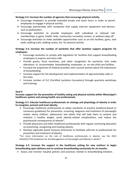#### Strategy 3-2: Increase the number of agencies that encourage physical activity.

- $\triangleright$  Encourage employers to provide extended breaks and lunch hours in order to permit employees to engage in physical activity.
- $\triangleright$  Encourage partnerships with companies that supply exercise equipment and devices; such as pedometers.
- $\triangleright$  Encourage worksites to provide employees with subsidized or reduced rate memberships in gyms, health clubs, community recreation centers, or wellness days off.
- $\triangleright$  Encourage worksites to make available opportunities such as on-site facilities, gyms, stair wells, walking trails, walking routes, etc. for physical activity.

#### Strategy 3-3: Increase the number of worksites that offer lactation support programs for **employees.**

- Encourage worksites to comply with legislation for facilities that support breastfeeding employees to express and store milk.
- Provide grants, fiscal incentives, and other recognition for worksites that make alterations to accommodate breastfeeding employees or on-site child care facilities.
- Increase the proportion of medical providers who counsel women about the importance of breastfeeding.
- Increase support for the development and implementation of approved baby cafes in the state.
- Increase number of CLC (Certified Lactation Counselors) through quarterly workshops and trainings

#### **Goal 4**

#### Increase support for the promotion of healthy eating and physical activity within Mississippi's healthcare system and among health care professionals.

#### Strategy 4-1: Educate healthcare professionals on etiology and physiology of obesity in order to recognize, prevent and treat obesity.

- $\triangleright$  Encourage healthcare professionals to adopt standards of practice (evidence-based or consensus guidelines) for prevention, screening, diagnosis and treatment of overweight and/or obese children, adolescents and adults that will help them to achieve and maintain a healthy weight, avoid obesity-related complications, and reduce the psychosocial consequences of obesity\*.
- $\triangleright$  Provide physicians and other healthcare professionals with regular continuing education on preventing, recognizing and treating obesity.
- $\triangleright$  Develop regionally based resource directories to facilitate referrals to professionals for prevention and treatment of obesity.

\*For more information on the role of healthcare professionals in obesity, see the 2013 AHA/ACC/TOS Guidelines for the Management of Overweight and Obesity in Adults.\*

#### **Strategy** 4-2: Increase the support in the healthcare setting for new mothers to begin **breastfeeding upon delivery and to continue breastfeeding exclusively for six months.**

 $\triangleright$  Assess and monitor hospital policies and practices related to breastfeeding initiation.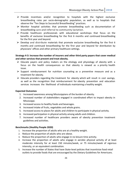- $\triangleright$  Provide incentives and/or recognition to hospitals with the highest exclusive breastfeeding rates per socio-demographic population, as well as to hospitals that observe the "Ten Steps to Successful Breastfeeding" practices.
- $\triangleright$  Monitor hospital activities that promote breastfeeding such as documentation of breastfeeding care and referral to community lactation.
- $\triangleright$  Provide healthcare professionals with educational workshops that focus on the benefits of exclusive breastfeeding for the first 6 months and continued breastfeeding for the first year and beyond.
- $\triangleright$  Develop and distribute materials that promote exclusive breastfeeding for the first 6 months and continued breastfeeding for the first year and beyond for distribution by physicians' offices and other primary healthcare settings.

#### Strategy 4-3: Increase the number of insurers and other third party payers that cover medical and other services that prevent and treat obesity.

- $\triangleright$  Educate payers and policy makers on the etiology and physiology of obesity with a focus on the health consequences so that obesity is viewed as a priority health issue.
- $\triangleright$  Support reimbursement for nutrition counseling as a preventive measure and as a treatment for obesity.
- $\triangleright$  Educate providers regarding the treatment for obesity which will result in cost savings, as well as the recognition that reimbursement for obesity prevention and education services increases the likelihood of individuals maintaining a healthy weight.

#### **Expected Outcomes**

- 1. Increased awareness among Mississippians of the burden of obesity.
- 2. Increased number of stakeholders engaged in coordinated effort to impact obesity in Mississippi.
- 3. Increased access to healthy foods and beverages.
- 4. Increased intake of fruits, vegetables and whole grains.
- 5. Increased access to places for adults and children to participate in physical activity.
- 6. Increased participation in physical activity among adults and children.
- 7. Increased number of healthcare providers aware of obesity prevention treatment guidelines and activities.

#### **Benchmarks (Healthy People 2020)**

- 1. Increase the proportion of adults who are at a healthy weight.
- 2. Reduce the proportion of adults who are obese.
- 3. Reduce the proportion of adults who engage in no leisure time activity.
- 4. Increase the proportion of adults who engage in aerobic physical activity of at least moderate intensity for at least 150 minutes/week, or 75 minutes/week of vigorous intensity, or an equivalent combination.
- 5. Increase the number of States that have State-level policies that incentivize food retail outlets to provide foods that are encouraged by the Dietary Guidelines for Americans.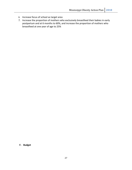- 6. Increase focus of school as target area
- 7. Increase the proportion of mothers who exclusively breastfeed their babies in early postpartum and at 6 months to 60%, and increase the proportion of mothers who breastfeed at one year of age to 25%

**F. Budget**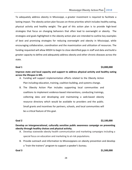To adequately address obesity in Mississippi, a greater investment is required to facilitate a lasting impact. The obesity action plan focuses on three priorities which includes healthy eating, physical activity and healthy weight. The goal of this action plan is to provide high-level strategies that focus on changing behaviors that often lead to overweight or obesity. The strategies and goals highlighted in the obesity action plan are intended to outline key examples of best and promising strategies for reducing overweight and obesity in Mississippi, while encouraging collaboration, coordination and the maximization and utilization of resources. The funding requested will allow MSDH to begin to close identified gaps in staff and data and build a greater capacity to define and adequately address obesity and other chronic diseases across the state.

#### **Goal 1** \$3,000,000

**Improve state and local capacity and support to address physical activity and healthy eating** across the lifespan in MS.

- A. Funding will support implementation efforts related to the Obesity Action Plan including education, training, coalition building, and systems change.
- B. The Obesity Action Plan includes supporting local communities and coalitions to implement evidence-based interventions, conducting trainings, collecting data and developing and maintaining a web-based obesity resource directory which would be available to providers and the public. Small grants and incentives for partners, schools, and local communities will be a critical feature of this goal.

## **Goal 2 \$2,100,000**

Develop an intergenerational, culturally sensitive public awareness campaign on preventing **obesity through healthy choices and physical activity.** 

- A. Develop statewide obesity health communication and marketing campaigns including a special focus on education and marketing to at-risk populations.
- B. Provide outreach and information to Mississippians on obesity prevention and develop a "train the trainers" program to support a speaker's bureau.

#### **Goal 3 51,500,000**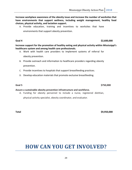Increase workplace awareness of the obesity issue and increase the number of worksites that have environments that support wellness, including weight management, healthy food **choices, physical activity, and lactation support.**

A. Provide education, training and incentives to worksites that have

environments that support obesity prevention.

#### **Goal 4 \$2,600,000**

**Increase support for the promotion of healthy eating and physical activity within Mississippi's healthcare system and among health care professionals.** 

- A. Work with health care providers to implement systems of referral for obesity prevention.
- B. Provide outreach and information to healthcare providers regarding obesity prevention.
- C. Provide incentives to hospitals that support breastfeeding practices.
- D. Develop education materials that promote exclusive breastfeeding.

#### **Assure a sustainable obesity prevention infrastructure and workforce.**

A. Funding for obesity personnel to include a nurse, registered dietitian, physical activity specialist, obesity coordinator, and evaluator.

**Total \$9,950,000**

# **HOW CAN YOU GET INVOLVED?**

**Goal 5 \$750,000**